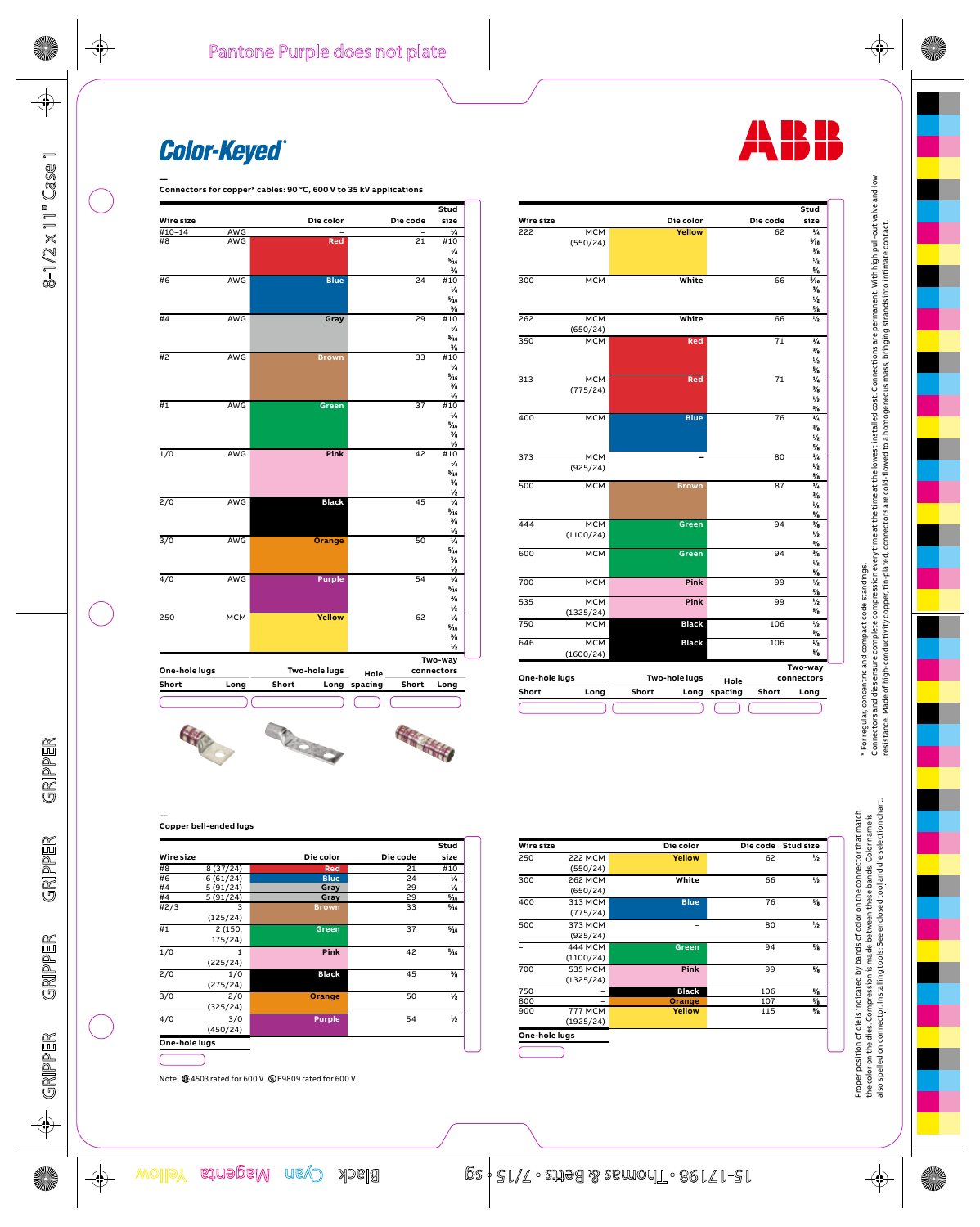

Note: @ 4503 rated for 600 V. @ E9809 rated for 600 V.

| Wire size        |                            | Die color     | Die code | Stud<br>size   |
|------------------|----------------------------|---------------|----------|----------------|
| #8               | 8(37/24)                   | <b>Red</b>    | 21       | #10            |
| #6               | 6(61/24)                   | <b>Blue</b>   | 24       | 1/4            |
| #4               | 5(91/24)                   | Gray          | 29       | 1/4            |
| #4               | 5 (91/24)                  | Gray          | 29       | $\frac{1}{16}$ |
| #2/3             | $\overline{3}$<br>(125/24) | <b>Brown</b>  | 33       | $\frac{1}{16}$ |
| #1               | 2 (150,<br>175/24)         | Green         | 37       | $\frac{1}{2}$  |
| $\overline{1/0}$ | 1<br>(225/24)              | Pink          | 42       | $\frac{1}{16}$ |
| 2/0              | 1/0<br>(275/24)            | <b>Black</b>  | 45       | $\frac{1}{2}$  |
| $\frac{3}{0}$    | 2/0<br>(325/24)            | Orange        | 50       | $\frac{1}{2}$  |
| 4/0              | 3/0<br>(450/24)            | <b>Purple</b> | 54       | $\frac{1}{2}$  |

| Conner hell-ended lugs |
|------------------------|

| Wire size        |                | Die color    |     | Die code Stud size |
|------------------|----------------|--------------|-----|--------------------|
| 250              | <b>222 MCM</b> | Yellow       | 62  | ₩                  |
|                  | (550/24)       |              |     |                    |
| $\overline{300}$ | 262 MCM        | White        | 66  | $\frac{1}{2}$      |
|                  | (650/24)       |              |     |                    |
| 400              | 313 MCM        | <b>Blue</b>  | 76  | %                  |
|                  | (775/24)       |              |     |                    |
| 500              | 373 MCM        | -            | 80  | $\frac{1}{2}$      |
|                  | (925/24)       |              |     |                    |
|                  | <b>444 MCM</b> | Green        | 94  | $\frac{1}{2}$      |
|                  | (1100/24)      |              |     |                    |
| 700              | 535 MCM        | Pink         | 99  | $\frac{5}{6}$      |
|                  | (1325/24)      |              |     |                    |
| 750              |                | <b>Black</b> | 106 | %                  |
| 800              |                | Orange       | 107 | %                  |
| 900              | <b>777 MCM</b> | Yellow       | 115 | %                  |
|                  | (1925/24)      |              |     |                    |

Proper position of die is indicated by bands of color on the connector that match<br>the color on the dies. Compression is made between these bands. Color name is<br>also spelled on connector. Installing tools: See enclosed tool







Die code

 $\overline{62}$ 

Die color

Velloy

White

White

Re

Blue

Greet

Green

Pink

Pink

**Black** 

**Black** 

Two-hole lugs

Short

Wire size

 $\overline{MCM}$ 

**MCM** 

**MCM** 

**MCM** 

 $\overline{MCM}$ 

**MCM** 

 $(775/24)$ 

MCM<br>(925/24)

**MCM** 

**MCM** 

**MCM** 

**MCM** 

**MCM** 

Long

 $MCM$ <br>(1325/24)

MCM<br>MCM<br>(1600/24)

 $(1100/24)$ 

 $(650/24)$ 

 $(550/24)$ 

 $\overline{222}$ 

 $\frac{300}{ }$ 

262

 $\overline{350}$ 

 $\overline{313}$ 

 $\overline{400}$ 

373

500

 $\overline{444}$ 

600

700

535

750

646

Short

One-hole lugs

Stud

size

**Color-Keyed**®



 $\color{red}\blacklozenge$ 

 $8 - 1/2 \times 11^{n}$  Case 1

 $\bigoplus$ 

GRIPPER GRIPPER

 $\phi$ 

**STATE** 

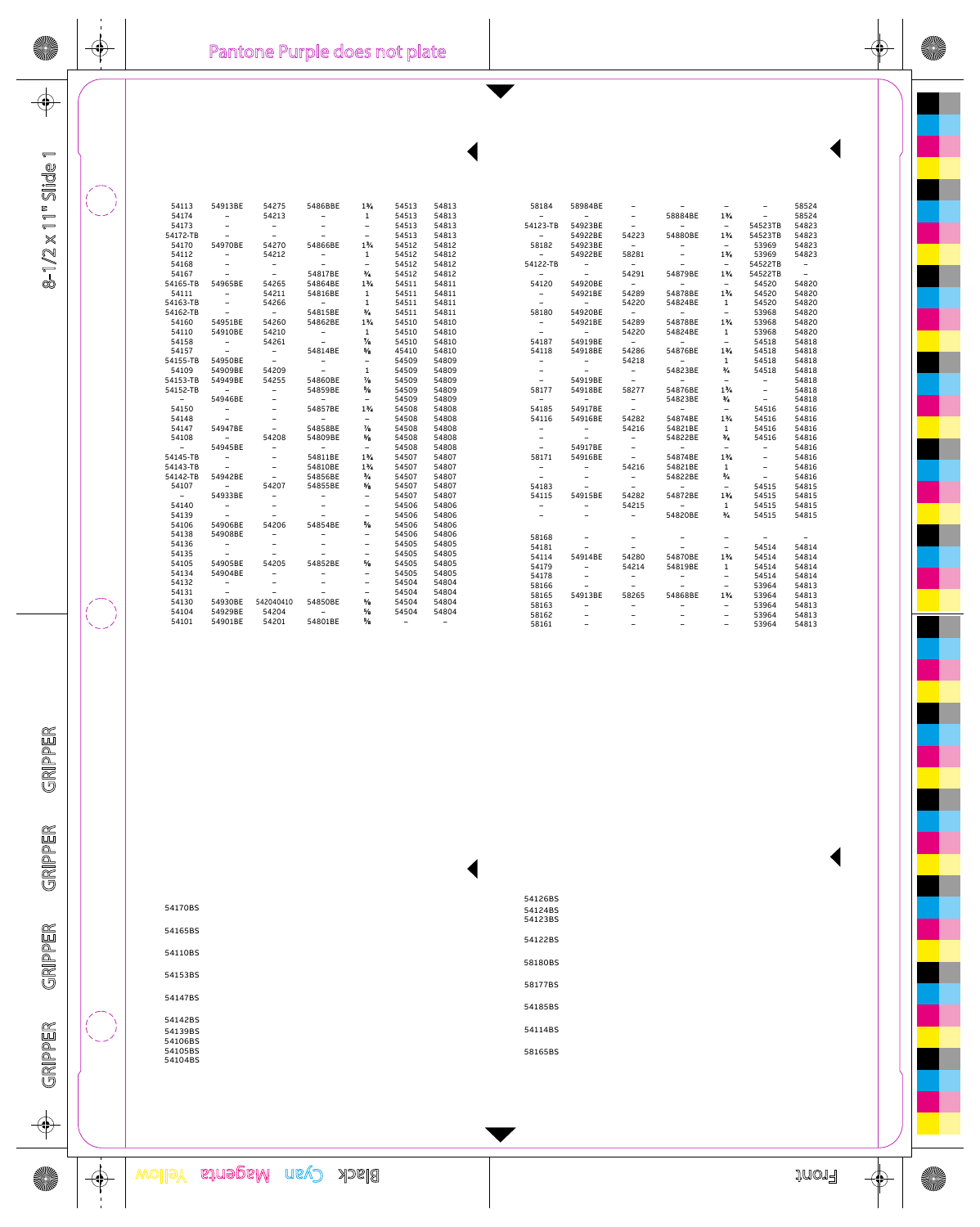| Pantone Purple does not plate |
|-------------------------------|
|                               |
|                               |
|                               |
|                               |
|                               |
|                               |
|                               |
|                               |

⊕

 $\phi$ 

 $8-1/2\times11^{w}\, \text{Silde}1$ 

| 54113            | 54913BE                      | 54275                    | 5486BBE                  | $1\%$                    | 54513 | 54813 |  |
|------------------|------------------------------|--------------------------|--------------------------|--------------------------|-------|-------|--|
| 54174            | -                            | 54213                    |                          | $\mathbf 1$              | 54513 | 54813 |  |
| 54173            |                              | $\overline{\phantom{a}}$ |                          | -                        | 54513 | 54813 |  |
| 54172-TB         |                              |                          |                          | $\overline{\phantom{0}}$ | 54513 | 54813 |  |
| 54170            | 54970BE                      | 54270                    | 54866BE                  | $1\%$                    | 54512 | 54812 |  |
| 54112            | $\qquad \qquad -$            | 54212                    | $\qquad \qquad -$        | 1                        | 54512 | 54812 |  |
| 54168            |                              | -                        |                          | $\qquad \qquad -$        | 54512 | 54812 |  |
| 54167            |                              | $\overline{\phantom{0}}$ | 54817BE                  | γ,                       | 54512 | 54812 |  |
| 54165-TB         | 54965BE                      | 54265                    | 54864BE                  | $1\%$                    | 54511 | 54811 |  |
| 54111            | $\overline{\phantom{a}}$     | 54211                    | 54816BE                  | $\mathbf 1$              | 54511 | 54811 |  |
| 54163-TB         | Ξ.                           | 54266                    | $\qquad \qquad -$        | $\mathbf 1$              | 54511 | 54811 |  |
| 54162-TB         |                              | $\overline{\phantom{a}}$ | 54815BE                  | $^{3}/$                  | 54511 | 54811 |  |
| 54160            | 54951BE                      | 54260                    | 54862BE                  | $1\%$                    | 54510 | 54810 |  |
| 54110            | 54910BE                      | 54210                    | $\overline{\phantom{a}}$ | $\mathbf{1}$             | 54510 | 54810 |  |
| 54158            | $\qquad \qquad \blacksquare$ | 54261                    |                          | $\gamma_{\rm s}$         | 54510 | 54810 |  |
| 54157            | $\overline{\phantom{m}}$     | $\sim$                   | 54814BE                  | $\frac{5}{2}$            | 45410 | 54810 |  |
| 54155-TB 54950BE |                              |                          |                          | -                        | 54509 | 54809 |  |
| 54109            | 54909BE                      | 54209                    | $\overline{\phantom{a}}$ | $\mathbf 1$              | 54509 | 54809 |  |
| 54153-TB         | 54949BE                      | 54255                    | 54860BE                  | $\frac{7}{6}$            | 54509 | 54809 |  |
| 54152-TB         | $\overline{a}$               | -                        | 54859BE                  | $\frac{5}{2}$            | 54509 | 54809 |  |
|                  | 54946BE                      |                          |                          | $\overline{a}$           | 54509 | 54809 |  |
| 54150            | $\qquad \qquad \blacksquare$ |                          | 54857BE                  | 1%                       | 54508 | 54808 |  |
| 54148            |                              |                          | $\overline{\phantom{0}}$ | $\overline{\phantom{0}}$ | 54508 | 54808 |  |
| 54147            | 54947BE                      | $\overline{\phantom{a}}$ | 54858BE                  | $\frac{7}{8}$            | 54508 | 54808 |  |
| 54108            | $\sim$ 100 $\pm$             | 54208                    | 54809BE                  | $\frac{5}{2}$            | 54508 | 54808 |  |
|                  | 54945BE                      | $\overline{\phantom{a}}$ |                          | $\overline{\phantom{a}}$ | 54508 | 54808 |  |
| 54145-TB         | -                            |                          | 54811BE                  | $1\%$                    | 54507 | 54807 |  |
| 54143-TB         |                              |                          | 54810BE                  | $1\%$                    | 54507 | 54807 |  |
| 54142-TB         | 54942BE                      | $\overline{\phantom{m}}$ | 54856BE                  | $\frac{3}{4}$            | 54507 | 54807 |  |
| 54107            | $\overline{\phantom{a}}$     | 54207                    | 54855BE                  | $\frac{5}{2}$            | 54507 | 54807 |  |
| $\sim$           | 54933BE                      |                          |                          | $\qquad \qquad -$        | 54507 | 54807 |  |
| 54140            | $\overline{\phantom{a}}$     |                          |                          | $\overline{a}$           | 54506 | 54806 |  |
| 54139            |                              |                          |                          | -                        | 54506 | 54806 |  |
| 54106            | 54906BE                      | 54206                    | 54854BE                  | $\frac{5}{2}$            | 54506 | 54806 |  |
| 54138            | 54908BE                      |                          |                          | -                        | 54506 | 54806 |  |
| 54136            | $\overline{\phantom{a}}$     |                          |                          | -                        | 54505 | 54805 |  |
| 54135            |                              |                          |                          | -                        | 54505 | 54805 |  |
| 54105            | 54905BE                      | 54205                    | 54852BE                  | $\frac{5}{2}$            | 54505 | 54805 |  |
| 54134            | 54904BE                      |                          |                          | -                        | 54505 | 54805 |  |
| 54132            | -                            |                          |                          | -                        | 54504 | 54804 |  |
| 54131            |                              |                          |                          | -                        | 54504 | 54804 |  |
| 54130            | 54930BE                      | 542040410                | 54850BE                  | $\frac{5}{2}$            | 54504 | 54804 |  |
| 54104            | 54929BE                      | 54204                    | $\overline{\phantom{0}}$ | $\frac{1}{2}$            | 54504 | 54804 |  |
| 54101            | 54901BE                      | 54201                    | 54801BE                  | $\frac{5}{2}$            |       |       |  |

|                          | 58184 58984BE                       |                   |                             |                                    |                          | 58524  |
|--------------------------|-------------------------------------|-------------------|-----------------------------|------------------------------------|--------------------------|--------|
|                          | $\overline{\phantom{a}}$            | $\sim$ $-$        | 58884BE                     | $1\%$                              | $\overline{\phantom{a}}$ | 58524  |
|                          | 54123-TB 54923BE                    | $\sim$            |                             | $\sim$ $\sim$                      | 54523TB                  | 54823  |
| $\sim$                   | 54922BE                             |                   | 54223 54880BE               | $1\%$                              | 54523TB                  | 54823  |
| 58182                    | 54923BE                             | $\sim$            | $\sim$                      | $\sim$                             | 53969                    | 54823  |
| $\sim$                   | 54922BE                             | 58281             |                             | $1\%$                              | 53969                    | 54823  |
| 54122-TB                 | $\overline{\phantom{a}}$            | $\sim$            |                             | $\sim$                             | 54522TB                  | $\sim$ |
| $\sim$                   | $\sim$                              |                   | 54291 54879BE               |                                    | 1% 54522TB               | $\sim$ |
| 54120                    | 54920BE                             | $\sim$ 100 $\sim$ | $\overline{\phantom{0}}$    | $\sim$                             | 54520                    | 54820  |
| $\sim$                   | 54921BE                             | 54289             | 54878BE                     | $1\%$                              | 54520                    | 54820  |
| $\sim$                   | $\sim$                              | 54220             | 54824BE                     | $\mathbf{1}$                       | 54520                    | 54820  |
| 58180                    | 54920BE                             | $\sim 100$        | $\sim$                      | $\sim$                             | 53968                    | 54820  |
| $\sim$                   | 54921BE                             |                   | 54289 54878BE               | $1\%$                              | 53968                    | 54820  |
| $\sim$                   | $\sim$                              | 54220             | 54824BE                     | $\mathbf{1}$                       | 53968                    | 54820  |
|                          | 54187    54919BE                    | $\sim$ $  \sim$   | Ξ.                          | $\sim$ .                           | 54518                    | 54818  |
| 54118                    | 54918BE                             | 54286             | 54876BE                     | $1\%$                              | 54518                    | 54818  |
| $\sim$                   | $\sim$ $-$                          | 54218             | $\sim$                      | $\mathbf{1}$                       | 54518                    | 54818  |
|                          | $\sim$                              | $\sim$ $ \sim$    | 54823BE                     | $\frac{3}{4}$                      | 54518                    | 54818  |
| $\sim$                   | 54919BE                             | $\sim$            | $\sim$ $-$                  | $\overline{\phantom{a}}$           | $\overline{a}$           | 54818  |
|                          |                                     |                   | 58177 54918BE 58277 54876BE | $1\%$                              | $\sim$                   | 54818  |
| $\sim$                   | $\overline{\phantom{0}}$            | $\sim$            | 54823BE                     | $\frac{3}{4}$                      | $\sim$ 100 $\mu$         | 54818  |
|                          | 54185 54917BE                       |                   | $\sim$                      | $\overline{\phantom{a}}$           | 54516                    | 54816  |
| 54116                    | 54916BE                             |                   | 54282 54874BE               | $1\%$                              | 54516                    | 54816  |
| $\overline{\phantom{a}}$ | $\sim$ 100 $\mu$                    | 54216             | 54821BE                     | $\mathbf{1}$                       | 54516                    | 54816  |
|                          | $\sim$                              | $\sim$            | 54822BE                     | $\frac{3}{4}$                      | 54516                    | 54816  |
| $\sim$                   | 54917BE                             | $\sim$            | $\sim$                      | $\overline{\phantom{a}}$           | $\sim$                   | 54816  |
|                          | 58171   54916BE                     | $\sim$            | 54874BE                     | $1\%$                              | $\sim$ $-$               | 54816  |
| $\sim$                   | $\overline{\phantom{0}}$            | 54216             | 54821BE                     | $\mathbf{1}$                       | $\sim$                   | 54816  |
| $\sim$                   | -                                   | $\sim$ $-$        | 54822BE                     | $\frac{3}{4}$                      | $\sim$                   | 54816  |
| 54183                    | $\sim$                              | $\sim$            | $\sim$ $-$                  | $\sim$                             | 54515                    | 54815  |
|                          | 54115    54915BE                    |                   | 54282 54872BE               | $1\%$                              | 54515                    | 54815  |
| $\overline{\phantom{0}}$ | $\blacksquare$                      | 54215             | $\sim$                      | $\mathbf{1}$                       | 54515                    | 54815  |
|                          | $\overline{\phantom{a}}$            | $\sim$ $-$        | 54820BE                     | $\frac{3}{4}$                      | 54515                    | 54815  |
|                          |                                     |                   |                             |                                    |                          |        |
| 58168                    | ۰.                                  |                   |                             |                                    |                          |        |
| 54181                    | $\overline{\phantom{a}}$            | $-$<br>$\sim$     | $\overline{\phantom{a}}$    | -<br>$\overline{\phantom{a}}$      | 54514                    | 54814  |
| 54114                    | 54914BE 54280 54870BE               |                   |                             | 1%                                 | 54514                    | 54814  |
| 54179                    | $-$                                 | 54214             | 54819BE                     | $\mathbf{1}$                       | 54514                    | 54814  |
| 54178                    |                                     |                   | $\overline{\phantom{0}}$    | $-$                                | 54514                    | 54814  |
| 58166                    |                                     | $\sim$            | $\sim$                      |                                    | 53964                    | 54813  |
| 58165                    | $\overline{\phantom{a}}$<br>54913BE |                   | 58265 54868BE               | $\overline{\phantom{a}}$<br>$1\%$  | 53964                    | 54813  |
| 58163                    |                                     |                   |                             |                                    | 53964                    | 54813  |
| 58162                    | -<br>$\overline{\phantom{a}}$       |                   |                             | $\sim$<br>$\overline{\phantom{a}}$ | 53964                    | 54813  |
|                          |                                     |                   |                             |                                    |                          |        |
| 58161                    | $\overline{\phantom{m}}$            |                   |                             | $\overline{\phantom{m}}$           | 53964                    | 54813  |

GRIPPER GRIPPER

 $\Rightarrow$ 

**STATE** 

 $\phi$ 

54126BS 54124BS 54123BS 54122BS 58180BS 58177BS 54185BS

54114BS 58165BS

54170BS 54165BS 54110BS 54153BS 54147BS 54142BS

54139BS 54106BS 54105BS 54104BS

€

III<br>40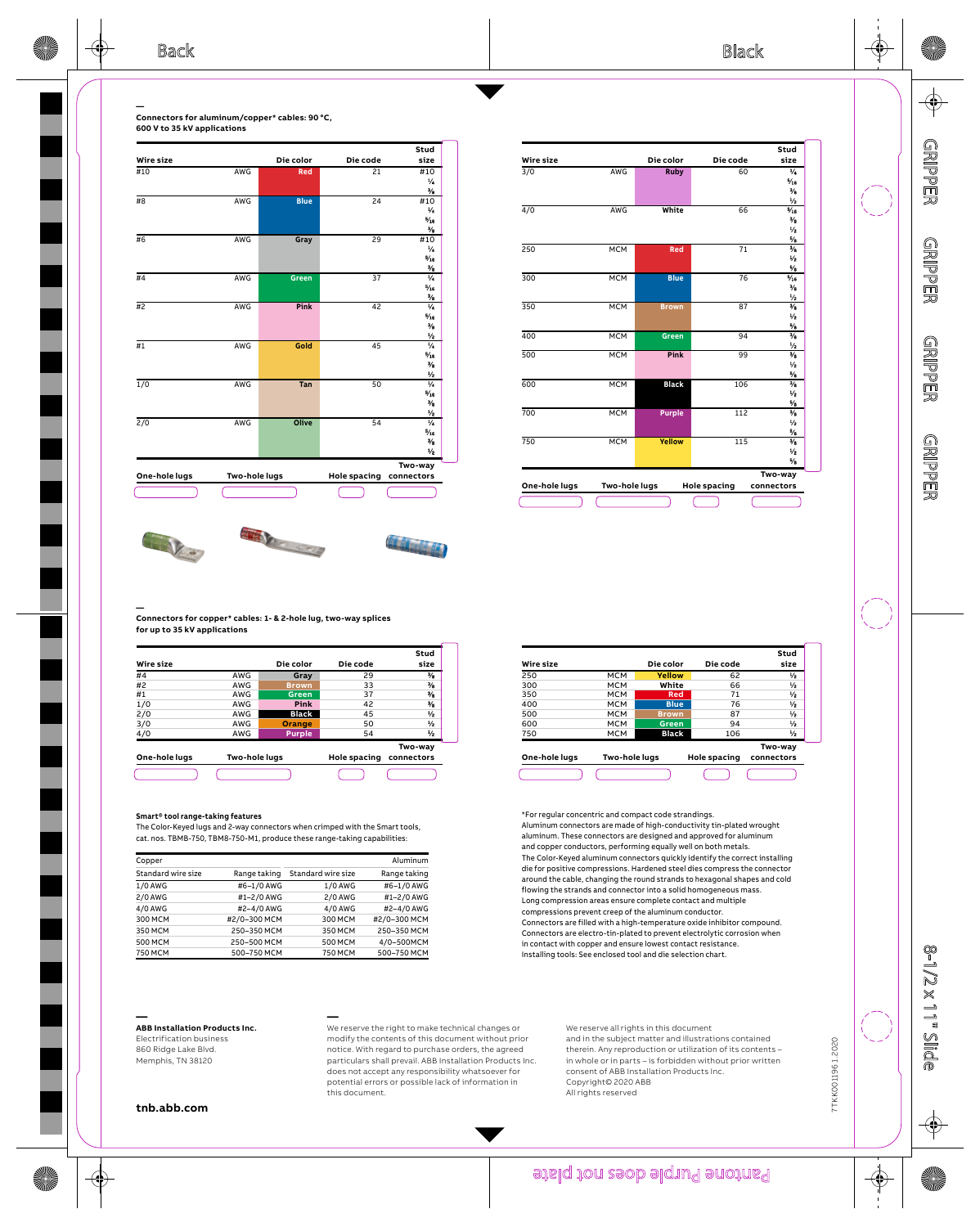

|               |               |               |                     | Stud                           |
|---------------|---------------|---------------|---------------------|--------------------------------|
| Wire size     |               | Die color     | Die code            | size                           |
| $\frac{3}{0}$ | AWG           | <b>Ruby</b>   | 60                  | $\overline{V}$                 |
|               |               |               |                     | $^{5}/16$                      |
|               |               |               |                     | $\frac{3}{2}$                  |
|               |               |               |                     | $\frac{1}{2}$                  |
| $\frac{4}{0}$ | AWG           | White         | 66                  | $^{5/16}$                      |
|               |               |               |                     | $\frac{3}{2}$                  |
|               |               |               |                     | $\frac{1}{2}$                  |
|               |               |               |                     | $\frac{5}{2}$                  |
| 250           | <b>MCM</b>    | Red           | $\overline{71}$     | $\frac{3}{2}$                  |
|               |               |               |                     | $\frac{1}{2}$                  |
|               |               |               |                     | $\frac{5}{2}$                  |
| 300           | <b>MCM</b>    | <b>Blue</b>   | 76                  | $\frac{5}{16}$                 |
|               |               |               |                     | $\frac{3}{2}$                  |
|               |               |               |                     | ℅                              |
| 350           | <b>MCM</b>    | <b>Brown</b>  | 87                  | $\overline{\frac{3}{2}}$       |
|               |               |               |                     | $\frac{1}{2}$                  |
|               |               |               |                     | $\frac{5}{6}$                  |
| 400           | <b>MCM</b>    | <b>Green</b>  | 94                  | $\frac{3}{2}$                  |
|               |               |               |                     | $\frac{1}{2}$                  |
| 500           | <b>MCM</b>    | Pink          | 99                  | $\frac{3}{2}$                  |
|               |               |               |                     | $\frac{1}{2}$                  |
|               |               |               |                     | $5/3$                          |
| 600           | <b>MCM</b>    | <b>Black</b>  | 106                 | $\frac{3}{2}$                  |
|               |               |               |                     | $\frac{1}{2}$                  |
|               | <b>MCM</b>    |               |                     | $\frac{5}{2}$                  |
| 700           |               | <b>Purple</b> | 112                 | $\frac{3}{2}$                  |
|               |               |               |                     | $\frac{1}{2}$                  |
| 750           | <b>MCM</b>    | Yellow        |                     | $\frac{5}{2}$<br>$\frac{3}{2}$ |
|               |               |               | 115                 |                                |
|               |               |               |                     | $\frac{1}{2}$                  |
|               |               |               |                     | $\frac{5}{2}$                  |
|               |               |               |                     | Two-way                        |
| One-hole lugs | Two-hole lugs |               | <b>Hole spacing</b> | connectors                     |







## **— Connectors for copper\* cables: 1- & 2-hole lug, two-way splices for up to 35 kV applications**

|     | Die color     | Die code            | Stud<br>size          |
|-----|---------------|---------------------|-----------------------|
| AWG | Gray          | 29                  | $^{3/2}$              |
| AWG | <b>Brown</b>  | 33                  | $\frac{3}{4}$         |
| AWG | Green         | 37                  | $^{3/2}$              |
| AWG | Pink          | 42                  | $\frac{3}{6}$         |
| AWG | <b>Black</b>  | 45                  | ₩                     |
| AWG | Orange        | 50                  | ₩                     |
| AWG | <b>Purple</b> | 54                  | ₩                     |
|     |               | <b>Hole spacing</b> | Two-way<br>connectors |
|     |               | Two-hole lugs       |                       |

### **Smart® tool range-taking features**

The Color-Keyed lugs and 2-way connectors when crimped with the Smart tools, cat. nos. TBMB-750, TBM8-750-M1, produce these range-taking capabilities:

| Copper             |              |                    | Aluminum     |
|--------------------|--------------|--------------------|--------------|
| Standard wire size | Range taking | Standard wire size | Range taking |
| 1/0 AWG            | #6-1/0 AWG   | 1/0 AWG            | #6-1/0 AWG   |
| 2/0 AWG            | #1-2/0 AWG   | 2/0 AWG            | #1-2/0 AWG   |
| 4/0 AWG            | #2-4/0 AWG   | 4/0 AWG            | #2-4/0 AWG   |
| 300 MCM            | #2/0-300 MCM | 300 MCM            | #2/0-300 MCM |
| 350 MCM            | 250-350 MCM  | 350 MCM            | 250-350 MCM  |
| 500 MCM            | 250-500 MCM  | 500 MCM            | 4/0-500MCM   |
| 750 MCM            | 500-750 MCM  | 750 MCM            | 500-750 MCM  |

# **— ABB Installation Products Inc.**

Electrification business 860 Ridge Lake Blvd. Memphis, TN 38120

**—** We reserve the right to make technical changes or modify the contents of this document without prior notice. With regard to purchase orders, the agreed particulars shall prevail. ABB Installation Products Inc. does not accept any responsibility whatsoever for potential errors or possible lack of information in this document.

## We reserve all rights in this document and in the subject matter and illustrations contained therein. Any reproduction or utilization of its contents – in whole or in parts – is forbidden without prior written consent of ABB Installation Products Inc. Copyright© 2020 ABB All rights reserved

**tnb.abb.com**

# Panchone Purple does not plate

| Wire size     |               | Die color    | Die code            | Stud<br>size  |
|---------------|---------------|--------------|---------------------|---------------|
| 250           | MCM           | Yellow       | 62                  | ₩             |
| 300           | <b>MCM</b>    | White        | 66                  | ₩             |
| 350           | MCM           | Red          | 71                  | ₩             |
| 400           | <b>MCM</b>    | <b>Blue</b>  | 76                  | ₩             |
| 500           | <b>MCM</b>    | <b>Brown</b> | 87                  | ₩             |
| 600           | <b>MCM</b>    | Green        | 94                  | ₩             |
| 750           | MCM           | <b>Black</b> | 106                 | $\frac{1}{2}$ |
|               |               |              |                     | Two-way       |
| One-hole lugs | Two-hole lugs |              | <b>Hole spacing</b> | connectors    |

\*For regular concentric and compact code strandings. Aluminum connectors are made of high-conductivity tin-plated wrought aluminum. These connectors are designed and approved for aluminum and copper conductors, performing equally well on both metals. The Color-Keyed aluminum connectors quickly identify the correct installing die for positive compressions. Hardened steel dies compress the connector around the cable, changing the round strands to hexagonal shapes and cold flowing the strands and connector into a solid homogeneous mass. Long compression areas ensure complete contact and multiple compressions prevent creep of the aluminum conductor. Connectors are filled with a high-temperature oxide inhibitor compound. Connectors are electro-tin-plated to prevent electrolytic corrosion when in contact with copper and ensure lowest contact resistance. Installing tools: See enclosed tool and die selection chart.

> 7TKK0011961.2020 7TKK001196 1.2020

> > ∉

GRIPPER

GRIPPER

GRIPPER

 $\bf \Phi$